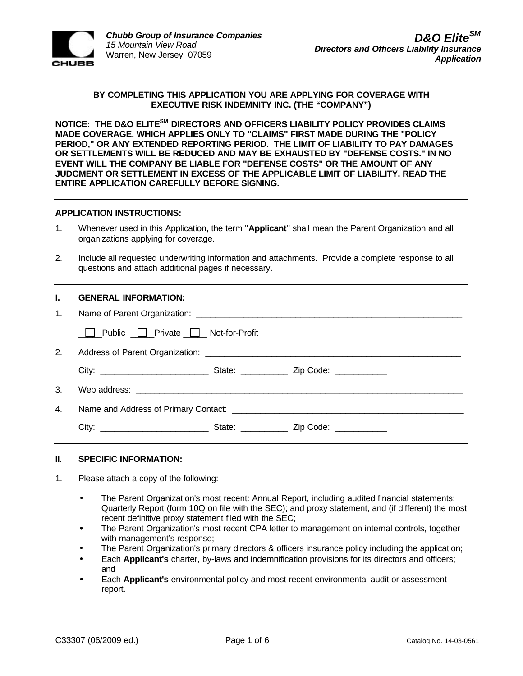

## **BY COMPLETING THIS APPLICATION YOU ARE APPLYING FOR COVERAGE WITH EXECUTIVE RISK INDEMNITY INC. (THE "COMPANY")**

**NOTICE: THE D&O ELITESM DIRECTORS AND OFFICERS LIABILITY POLICY PROVIDES CLAIMS MADE COVERAGE, WHICH APPLIES ONLY TO "CLAIMS" FIRST MADE DURING THE "POLICY PERIOD," OR ANY EXTENDED REPORTING PERIOD. THE LIMIT OF LIABILITY TO PAY DAMAGES OR SETTLEMENTS WILL BE REDUCED AND MAY BE EXHAUSTED BY "DEFENSE COSTS." IN NO EVENT WILL THE COMPANY BE LIABLE FOR "DEFENSE COSTS" OR THE AMOUNT OF ANY JUDGMENT OR SETTLEMENT IN EXCESS OF THE APPLICABLE LIMIT OF LIABILITY. READ THE ENTIRE APPLICATION CAREFULLY BEFORE SIGNING.**

## **APPLICATION INSTRUCTIONS:**

- 1. Whenever used in this Application, the term "**Applicant**" shall mean the Parent Organization and all organizations applying for coverage.
- 2. Include all requested underwriting information and attachments. Provide a complete response to all questions and attach additional pages if necessary.

|    | <b>GENERAL INFORMATION:</b>         |  |  |  |
|----|-------------------------------------|--|--|--|
| 1. |                                     |  |  |  |
|    | □ Public □ Private □ Not-for-Profit |  |  |  |
| 2. |                                     |  |  |  |
|    |                                     |  |  |  |
| 3. |                                     |  |  |  |
| 4. |                                     |  |  |  |
|    |                                     |  |  |  |

### **II. SPECIFIC INFORMATION:**

- 1. Please attach a copy of the following:
	- The Parent Organization's most recent: Annual Report, including audited financial statements; Quarterly Report (form 10Q on file with the SEC); and proxy statement, and (if different) the most recent definitive proxy statement filed with the SEC;
	- The Parent Organization's most recent CPA letter to management on internal controls, together with management's response;
	- The Parent Organization's primary directors & officers insurance policy including the application;
	- Each **Applicant's** charter, by-laws and indemnification provisions for its directors and officers; and
	- Each **Applicant's** environmental policy and most recent environmental audit or assessment report.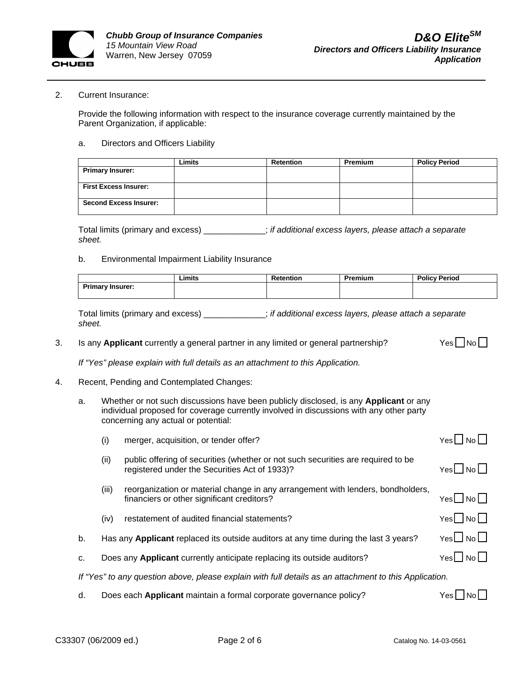

#### 2. Current Insurance:

Provide the following information with respect to the insurance coverage currently maintained by the Parent Organization, if applicable:

#### a. Directors and Officers Liability

|                               | Limits | <b>Retention</b> | <b>Premium</b> | <b>Policy Period</b> |
|-------------------------------|--------|------------------|----------------|----------------------|
| <b>Primary Insurer:</b>       |        |                  |                |                      |
|                               |        |                  |                |                      |
| <b>First Excess Insurer:</b>  |        |                  |                |                      |
|                               |        |                  |                |                      |
| <b>Second Excess Insurer:</b> |        |                  |                |                      |
|                               |        |                  |                |                      |

Total limits (primary and excess) \_\_\_\_\_\_\_\_\_\_\_\_\_; *if additional excess layers, please attach a separate sheet.* 

#### b. Environmental Impairment Liability Insurance

|                         | . .<br>Limits | Retention | Premium | <b>Policy Period</b> |
|-------------------------|---------------|-----------|---------|----------------------|
| <b>Primary Insurer:</b> |               |           |         |                      |
|                         |               |           |         |                      |

Total limits (primary and excess) \_\_\_\_\_\_\_\_\_\_\_\_\_; *if additional excess layers, please attach a separate sheet.* 

3. Is any **Applicant** currently a general partner in any limited or general partnership? Yes No

*If "Yes" please explain with full details as an attachment to this Application.*

- 4. Recent, Pending and Contemplated Changes:
	- a. Whether or not such discussions have been publicly disclosed, is any **Applicant** or any individual proposed for coverage currently involved in discussions with any other party concerning any actual or potential:

|                                                                                                        | (i)   | merger, acquisition, or tender offer?                                                                                             | $Yes \Box No \Box$                       |  |
|--------------------------------------------------------------------------------------------------------|-------|-----------------------------------------------------------------------------------------------------------------------------------|------------------------------------------|--|
|                                                                                                        | (ii)  | public offering of securities (whether or not such securities are required to be<br>registered under the Securities Act of 1933)? | $Yes \cup No \cup$                       |  |
|                                                                                                        | (iii) | reorganization or material change in any arrangement with lenders, bondholders,<br>financiers or other significant creditors?     | Yes   No                                 |  |
|                                                                                                        | (iv)  | restatement of audited financial statements?                                                                                      | $Yes \nightharpoonup No \nightharpoonup$ |  |
| b.                                                                                                     |       | Has any Applicant replaced its outside auditors at any time during the last 3 years?                                              | $Yes \Box$ No $\Box$                     |  |
| C.                                                                                                     |       | Does any <b>Applicant</b> currently anticipate replacing its outside auditors?                                                    | Yes□No□                                  |  |
| If "Yes" to any question above, please explain with full details as an attachment to this Application. |       |                                                                                                                                   |                                          |  |

d. Does each **Applicant** maintain a formal corporate governance policy? Yes No No No No No D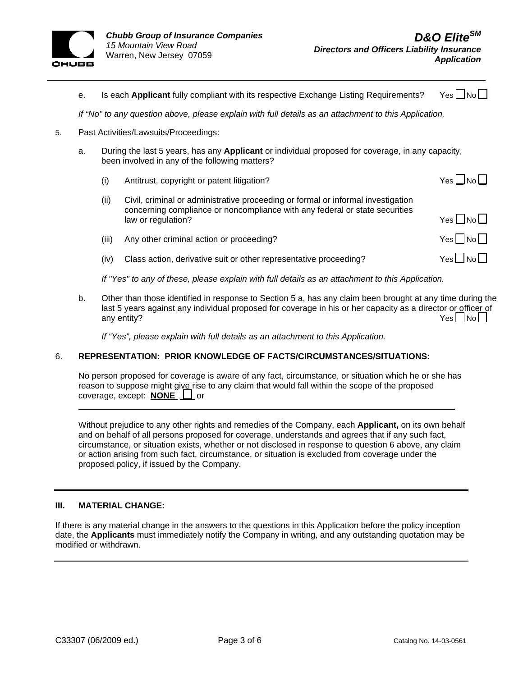

|    | е.                                                                                                    |                                       | Is each Applicant fully compliant with its respective Exchange Listing Requirements?                                                                                                  | Yes l                        |  |
|----|-------------------------------------------------------------------------------------------------------|---------------------------------------|---------------------------------------------------------------------------------------------------------------------------------------------------------------------------------------|------------------------------|--|
|    | If "No" to any question above, please explain with full details as an attachment to this Application. |                                       |                                                                                                                                                                                       |                              |  |
| 5. |                                                                                                       | Past Activities/Lawsuits/Proceedings: |                                                                                                                                                                                       |                              |  |
|    | a.                                                                                                    |                                       | During the last 5 years, has any <b>Applicant</b> or individual proposed for coverage, in any capacity,<br>been involved in any of the following matters?                             |                              |  |
|    |                                                                                                       | (i)                                   | Antitrust, copyright or patent litigation?                                                                                                                                            | Yes I INol                   |  |
|    |                                                                                                       | (ii)                                  | Civil, criminal or administrative proceeding or formal or informal investigation<br>concerning compliance or noncompliance with any federal or state securities<br>law or regulation? | $Yes \bigsqcup No \bigsqcup$ |  |
|    |                                                                                                       | (iii)                                 | Any other criminal action or proceeding?                                                                                                                                              | $Yes \bigsqcup No \bigsqcup$ |  |
|    |                                                                                                       | (iv)                                  | Class action, derivative suit or other representative proceeding?                                                                                                                     | Yesl INol                    |  |
|    |                                                                                                       |                                       |                                                                                                                                                                                       |                              |  |

*If "Yes" to any of these, please explain with full details as an attachment to this Application.* 

b. Other than those identified in response to Section 5 a, has any claim been brought at any time during the last 5 years against any individual proposed for coverage in his or her capacity as a director or officer of any entity?  $\begin{array}{ccc} \text{Yes} \square & \text{No} \end{array}$ 

*If "Yes", please explain with full details as an attachment to this Application.*

### 6. **REPRESENTATION: PRIOR KNOWLEDGE OF FACTS/CIRCUMSTANCES/SITUATIONS:**

No person proposed for coverage is aware of any fact, circumstance, or situation which he or she has reason to suppose might give rise to any claim that would fall within the scope of the proposed coverage, except: **NONE**  $\Box$  or

Without prejudice to any other rights and remedies of the Company, each **Applicant,** on its own behalf and on behalf of all persons proposed for coverage, understands and agrees that if any such fact, circumstance, or situation exists, whether or not disclosed in response to question 6 above, any claim or action arising from such fact, circumstance, or situation is excluded from coverage under the proposed policy, if issued by the Company.

### **III. MATERIAL CHANGE:**

 $\overline{a}$ 

If there is any material change in the answers to the questions in this Application before the policy inception date, the **Applicants** must immediately notify the Company in writing, and any outstanding quotation may be modified or withdrawn.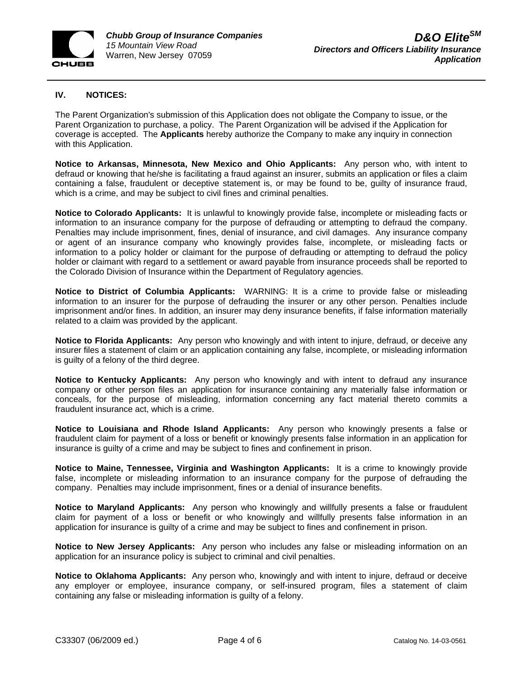

## **IV. NOTICES:**

The Parent Organization's submission of this Application does not obligate the Company to issue, or the Parent Organization to purchase, a policy. The Parent Organization will be advised if the Application for coverage is accepted. The **Applicants** hereby authorize the Company to make any inquiry in connection with this Application.

**Notice to Arkansas, Minnesota, New Mexico and Ohio Applicants:** Any person who, with intent to defraud or knowing that he/she is facilitating a fraud against an insurer, submits an application or files a claim containing a false, fraudulent or deceptive statement is, or may be found to be, guilty of insurance fraud, which is a crime, and may be subject to civil fines and criminal penalties.

**Notice to Colorado Applicants:** It is unlawful to knowingly provide false, incomplete or misleading facts or information to an insurance company for the purpose of defrauding or attempting to defraud the company. Penalties may include imprisonment, fines, denial of insurance, and civil damages. Any insurance company or agent of an insurance company who knowingly provides false, incomplete, or misleading facts or information to a policy holder or claimant for the purpose of defrauding or attempting to defraud the policy holder or claimant with regard to a settlement or award payable from insurance proceeds shall be reported to the Colorado Division of Insurance within the Department of Regulatory agencies.

**Notice to District of Columbia Applicants:** WARNING: It is a crime to provide false or misleading information to an insurer for the purpose of defrauding the insurer or any other person. Penalties include imprisonment and/or fines. In addition, an insurer may deny insurance benefits, if false information materially related to a claim was provided by the applicant.

**Notice to Florida Applicants:** Any person who knowingly and with intent to injure, defraud, or deceive any insurer files a statement of claim or an application containing any false, incomplete, or misleading information is guilty of a felony of the third degree.

**Notice to Kentucky Applicants:** Any person who knowingly and with intent to defraud any insurance company or other person files an application for insurance containing any materially false information or conceals, for the purpose of misleading, information concerning any fact material thereto commits a fraudulent insurance act, which is a crime.

**Notice to Louisiana and Rhode Island Applicants:** Any person who knowingly presents a false or fraudulent claim for payment of a loss or benefit or knowingly presents false information in an application for insurance is guilty of a crime and may be subject to fines and confinement in prison.

**Notice to Maine, Tennessee, Virginia and Washington Applicants:** It is a crime to knowingly provide false, incomplete or misleading information to an insurance company for the purpose of defrauding the company. Penalties may include imprisonment, fines or a denial of insurance benefits.

**Notice to Maryland Applicants:** Any person who knowingly and willfully presents a false or fraudulent claim for payment of a loss or benefit or who knowingly and willfully presents false information in an application for insurance is guilty of a crime and may be subject to fines and confinement in prison.

**Notice to New Jersey Applicants:** Any person who includes any false or misleading information on an application for an insurance policy is subject to criminal and civil penalties.

**Notice to Oklahoma Applicants:** Any person who, knowingly and with intent to injure, defraud or deceive any employer or employee, insurance company, or self-insured program, files a statement of claim containing any false or misleading information is guilty of a felony.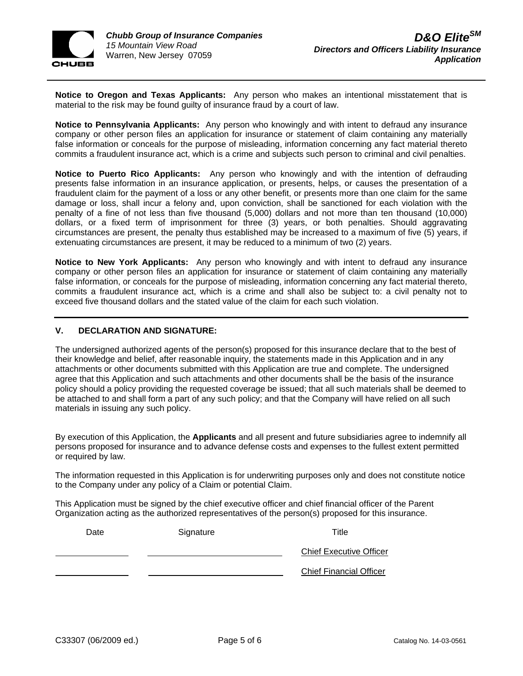

**Notice to Oregon and Texas Applicants:** Any person who makes an intentional misstatement that is material to the risk may be found guilty of insurance fraud by a court of law.

**Notice to Pennsylvania Applicants:** Any person who knowingly and with intent to defraud any insurance company or other person files an application for insurance or statement of claim containing any materially false information or conceals for the purpose of misleading, information concerning any fact material thereto commits a fraudulent insurance act, which is a crime and subjects such person to criminal and civil penalties.

**Notice to Puerto Rico Applicants:** Any person who knowingly and with the intention of defrauding presents false information in an insurance application, or presents, helps, or causes the presentation of a fraudulent claim for the payment of a loss or any other benefit, or presents more than one claim for the same damage or loss, shall incur a felony and, upon conviction, shall be sanctioned for each violation with the penalty of a fine of not less than five thousand (5,000) dollars and not more than ten thousand (10,000) dollars, or a fixed term of imprisonment for three (3) years, or both penalties. Should aggravating circumstances are present, the penalty thus established may be increased to a maximum of five (5) years, if extenuating circumstances are present, it may be reduced to a minimum of two (2) years.

**Notice to New York Applicants:** Any person who knowingly and with intent to defraud any insurance company or other person files an application for insurance or statement of claim containing any materially false information, or conceals for the purpose of misleading, information concerning any fact material thereto, commits a fraudulent insurance act, which is a crime and shall also be subject to: a civil penalty not to exceed five thousand dollars and the stated value of the claim for each such violation.

# **V. DECLARATION AND SIGNATURE:**

The undersigned authorized agents of the person(s) proposed for this insurance declare that to the best of their knowledge and belief, after reasonable inquiry, the statements made in this Application and in any attachments or other documents submitted with this Application are true and complete. The undersigned agree that this Application and such attachments and other documents shall be the basis of the insurance policy should a policy providing the requested coverage be issued; that all such materials shall be deemed to be attached to and shall form a part of any such policy; and that the Company will have relied on all such materials in issuing any such policy.

By execution of this Application, the **Applicants** and all present and future subsidiaries agree to indemnify all persons proposed for insurance and to advance defense costs and expenses to the fullest extent permitted or required by law.

The information requested in this Application is for underwriting purposes only and does not constitute notice to the Company under any policy of a Claim or potential Claim.

This Application must be signed by the chief executive officer and chief financial officer of the Parent Organization acting as the authorized representatives of the person(s) proposed for this insurance.

| Date | Signature | Title                          |
|------|-----------|--------------------------------|
|      |           | <b>Chief Executive Officer</b> |
|      |           | <b>Chief Financial Officer</b> |